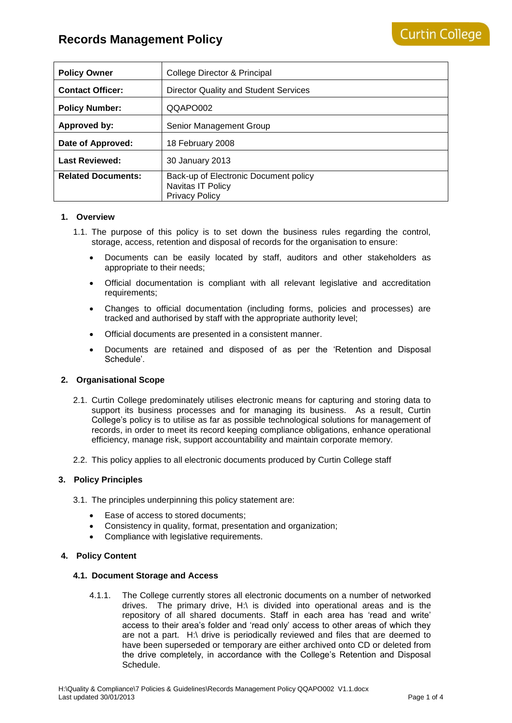| <b>Policy Owner</b>       | College Director & Principal                                                        |
|---------------------------|-------------------------------------------------------------------------------------|
| <b>Contact Officer:</b>   | Director Quality and Student Services                                               |
| <b>Policy Number:</b>     | QQAPO002                                                                            |
| <b>Approved by:</b>       | Senior Management Group                                                             |
| Date of Approved:         | 18 February 2008                                                                    |
| <b>Last Reviewed:</b>     | 30 January 2013                                                                     |
| <b>Related Documents:</b> | Back-up of Electronic Document policy<br>Navitas IT Policy<br><b>Privacy Policy</b> |

### **1. Overview**

- 1.1. The purpose of this policy is to set down the business rules regarding the control, storage, access, retention and disposal of records for the organisation to ensure:
	- Documents can be easily located by staff, auditors and other stakeholders as appropriate to their needs;
	- Official documentation is compliant with all relevant legislative and accreditation requirements;
	- Changes to official documentation (including forms, policies and processes) are tracked and authorised by staff with the appropriate authority level;
	- Official documents are presented in a consistent manner.
	- Documents are retained and disposed of as per the 'Retention and Disposal Schedule'.

## **2. Organisational Scope**

- 2.1. Curtin College predominately utilises electronic means for capturing and storing data to support its business processes and for managing its business. As a result, Curtin College's policy is to utilise as far as possible technological solutions for management of records, in order to meet its record keeping compliance obligations, enhance operational efficiency, manage risk, support accountability and maintain corporate memory.
- 2.2. This policy applies to all electronic documents produced by Curtin College staff

### **3. Policy Principles**

- 3.1. The principles underpinning this policy statement are:
	- Ease of access to stored documents;
	- Consistency in quality, format, presentation and organization;
	- Compliance with legislative requirements.

### **4. Policy Content**

### **4.1. Document Storage and Access**

4.1.1. The College currently stores all electronic documents on a number of networked drives. The primary drive, H:\ is divided into operational areas and is the repository of all shared documents. Staff in each area has 'read and write' access to their area's folder and 'read only' access to other areas of which they are not a part. H:\ drive is periodically reviewed and files that are deemed to have been superseded or temporary are either archived onto CD or deleted from the drive completely, in accordance with the College's Retention and Disposal Schedule.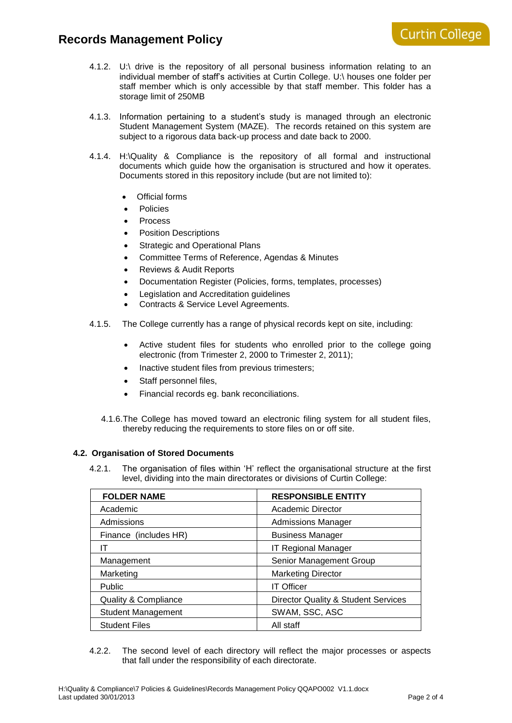- 4.1.2. U:\ drive is the repository of all personal business information relating to an individual member of staff's activities at Curtin College. U:\ houses one folder per staff member which is only accessible by that staff member. This folder has a storage limit of 250MB
- 4.1.3. Information pertaining to a student's study is managed through an electronic Student Management System (MAZE). The records retained on this system are subject to a rigorous data back-up process and date back to 2000.
- 4.1.4. H:\Quality & Compliance is the repository of all formal and instructional documents which guide how the organisation is structured and how it operates. Documents stored in this repository include (but are not limited to):
	- Official forms
	- Policies
	- Process
	- Position Descriptions
	- Strategic and Operational Plans
	- Committee Terms of Reference, Agendas & Minutes
	- Reviews & Audit Reports
	- Documentation Register (Policies, forms, templates, processes)
	- Legislation and Accreditation guidelines
	- Contracts & Service Level Agreements.
- 4.1.5. The College currently has a range of physical records kept on site, including:
	- Active student files for students who enrolled prior to the college going electronic (from Trimester 2, 2000 to Trimester 2, 2011);
	- Inactive student files from previous trimesters;
	- Staff personnel files,
	- Financial records eg. bank reconciliations.
	- 4.1.6.The College has moved toward an electronic filing system for all student files, thereby reducing the requirements to store files on or off site.

## **4.2. Organisation of Stored Documents**

4.2.1. The organisation of files within 'H' reflect the organisational structure at the first level, dividing into the main directorates or divisions of Curtin College:

| <b>FOLDER NAME</b>              | <b>RESPONSIBLE ENTITY</b>           |
|---------------------------------|-------------------------------------|
| Academic                        | Academic Director                   |
| Admissions                      | <b>Admissions Manager</b>           |
| Finance (includes HR)           | <b>Business Manager</b>             |
| IΤ                              | <b>IT Regional Manager</b>          |
| Management                      | Senior Management Group             |
| Marketing                       | <b>Marketing Director</b>           |
| Public                          | <b>IT Officer</b>                   |
| <b>Quality &amp; Compliance</b> | Director Quality & Student Services |
| <b>Student Management</b>       | SWAM, SSC, ASC                      |
| <b>Student Files</b>            | All staff                           |

4.2.2. The second level of each directory will reflect the major processes or aspects that fall under the responsibility of each directorate.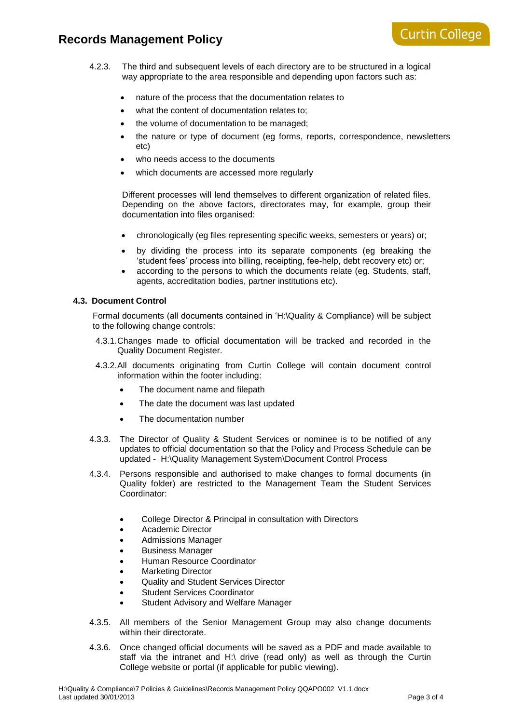- 4.2.3. The third and subsequent levels of each directory are to be structured in a logical way appropriate to the area responsible and depending upon factors such as:
	- nature of the process that the documentation relates to
	- what the content of documentation relates to;
	- the volume of documentation to be managed;
	- the nature or type of document (eg forms, reports, correspondence, newsletters etc)
	- who needs access to the documents
	- which documents are accessed more regularly

Different processes will lend themselves to different organization of related files. Depending on the above factors, directorates may, for example, group their documentation into files organised:

- chronologically (eg files representing specific weeks, semesters or years) or;
- by dividing the process into its separate components (eg breaking the 'student fees' process into billing, receipting, fee-help, debt recovery etc) or;
- according to the persons to which the documents relate (eg. Students, staff, agents, accreditation bodies, partner institutions etc).

## **4.3. Document Control**

Formal documents (all documents contained in 'H:\Quality & Compliance) will be subject to the following change controls:

- 4.3.1.Changes made to official documentation will be tracked and recorded in the Quality Document Register.
- 4.3.2.All documents originating from Curtin College will contain document control information within the footer including:
	- The document name and filepath
	- The date the document was last updated
	- The documentation number
- 4.3.3. The Director of Quality & Student Services or nominee is to be notified of any updates to official documentation so that the Policy and Process Schedule can be updated - H:\Quality Management System\Document Control Process
- 4.3.4. Persons responsible and authorised to make changes to formal documents (in Quality folder) are restricted to the Management Team the Student Services Coordinator:
	- College Director & Principal in consultation with Directors
	- Academic Director
	- Admissions Manager
	- Business Manager
	- Human Resource Coordinator
	- Marketing Director
	- Quality and Student Services Director
	- Student Services Coordinator
	- Student Advisory and Welfare Manager
- 4.3.5. All members of the Senior Management Group may also change documents within their directorate.
- 4.3.6. Once changed official documents will be saved as a PDF and made available to staff via the intranet and H:\ drive (read only) as well as through the Curtin College website or portal (if applicable for public viewing).